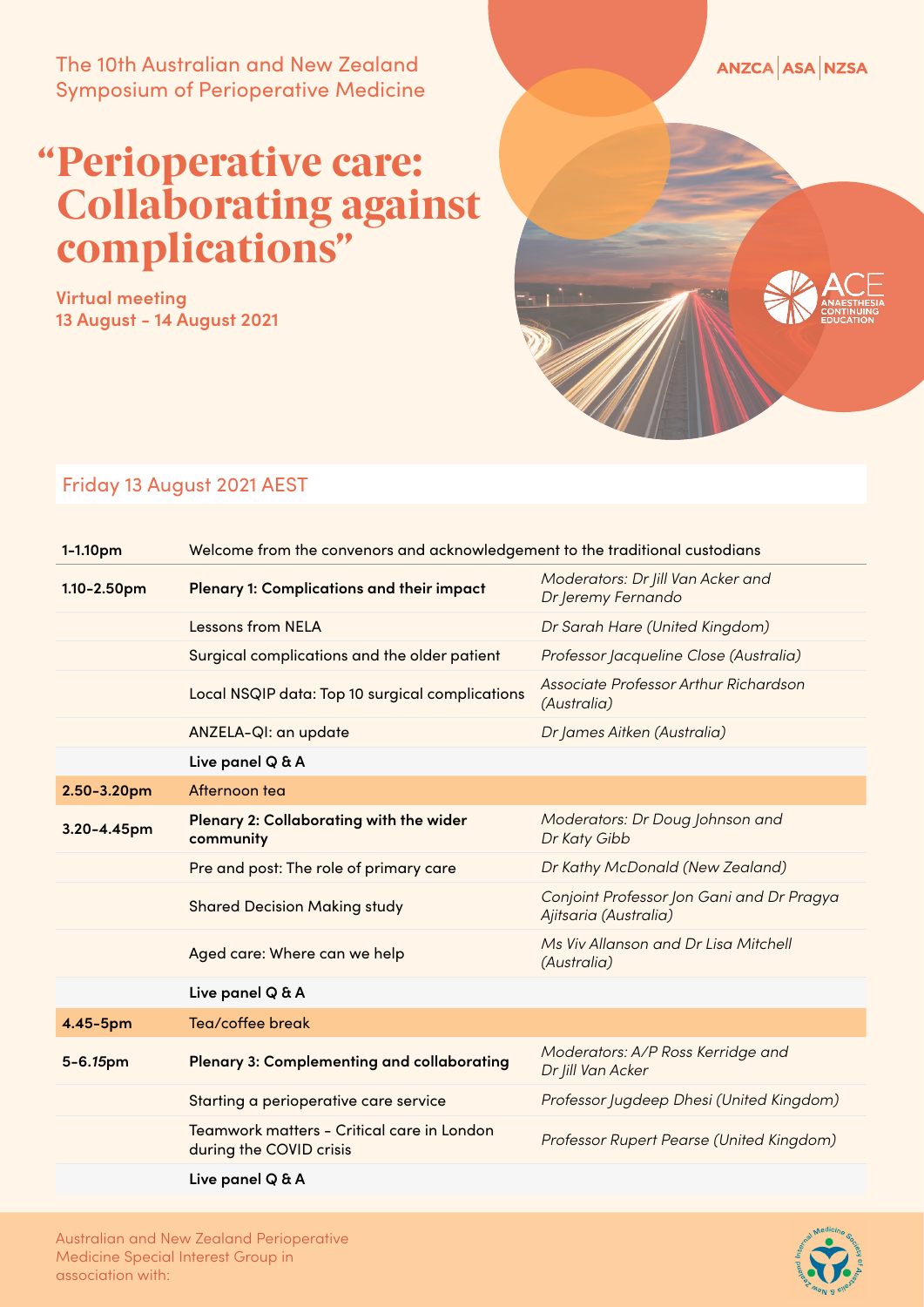The 10th Australian and New Zealand Symposium of Perioperative Medicine

## Perioperative care: " Collaborating against complications"

**Virtual meeting 13 August - 14 August 2021**



## Friday 13 August 2021 AEST

| 1-1.10pm    | Welcome from the convenors and acknowledgement to the traditional custodians |                                                                    |
|-------------|------------------------------------------------------------------------------|--------------------------------------------------------------------|
| 1.10-2.50pm | Plenary 1: Complications and their impact                                    | Moderators: Dr Jill Van Acker and<br>Dr Jeremy Fernando            |
|             | <b>Lessons from NELA</b>                                                     | Dr Sarah Hare (United Kingdom)                                     |
|             | Surgical complications and the older patient                                 | Professor Jacqueline Close (Australia)                             |
|             | Local NSQIP data: Top 10 surgical complications                              | Associate Professor Arthur Richardson<br>(Australia)               |
|             | ANZELA-QI: an update                                                         | Dr James Aitken (Australia)                                        |
|             | Live panel Q & A                                                             |                                                                    |
| 2.50-3.20pm | Afternoon tea                                                                |                                                                    |
| 3.20-4.45pm | Plenary 2: Collaborating with the wider<br>community                         | Moderators: Dr Doug Johnson and<br>Dr Katy Gibb                    |
|             | Pre and post: The role of primary care                                       | Dr Kathy McDonald (New Zealand)                                    |
|             | <b>Shared Decision Making study</b>                                          | Conjoint Professor Jon Gani and Dr Pragya<br>Ajitsaria (Australia) |
|             | Aged care: Where can we help                                                 | Ms Viv Allanson and Dr Lisa Mitchell<br>(Australia)                |
|             | Live panel Q & A                                                             |                                                                    |
| 4.45-5pm    | Tea/coffee break                                                             |                                                                    |
| 5-6.15pm    | <b>Plenary 3: Complementing and collaborating</b>                            | Moderators: A/P Ross Kerridge and<br>Dr Jill Van Acker             |
|             | Starting a perioperative care service                                        | Professor Jugdeep Dhesi (United Kingdom)                           |
|             | Teamwork matters - Critical care in London<br>during the COVID crisis        | Professor Rupert Pearse (United Kingdom)                           |
|             | Live panel Q & A                                                             |                                                                    |

Australian and New Zealand Perioperative Medicine Special Interest Group in association with: